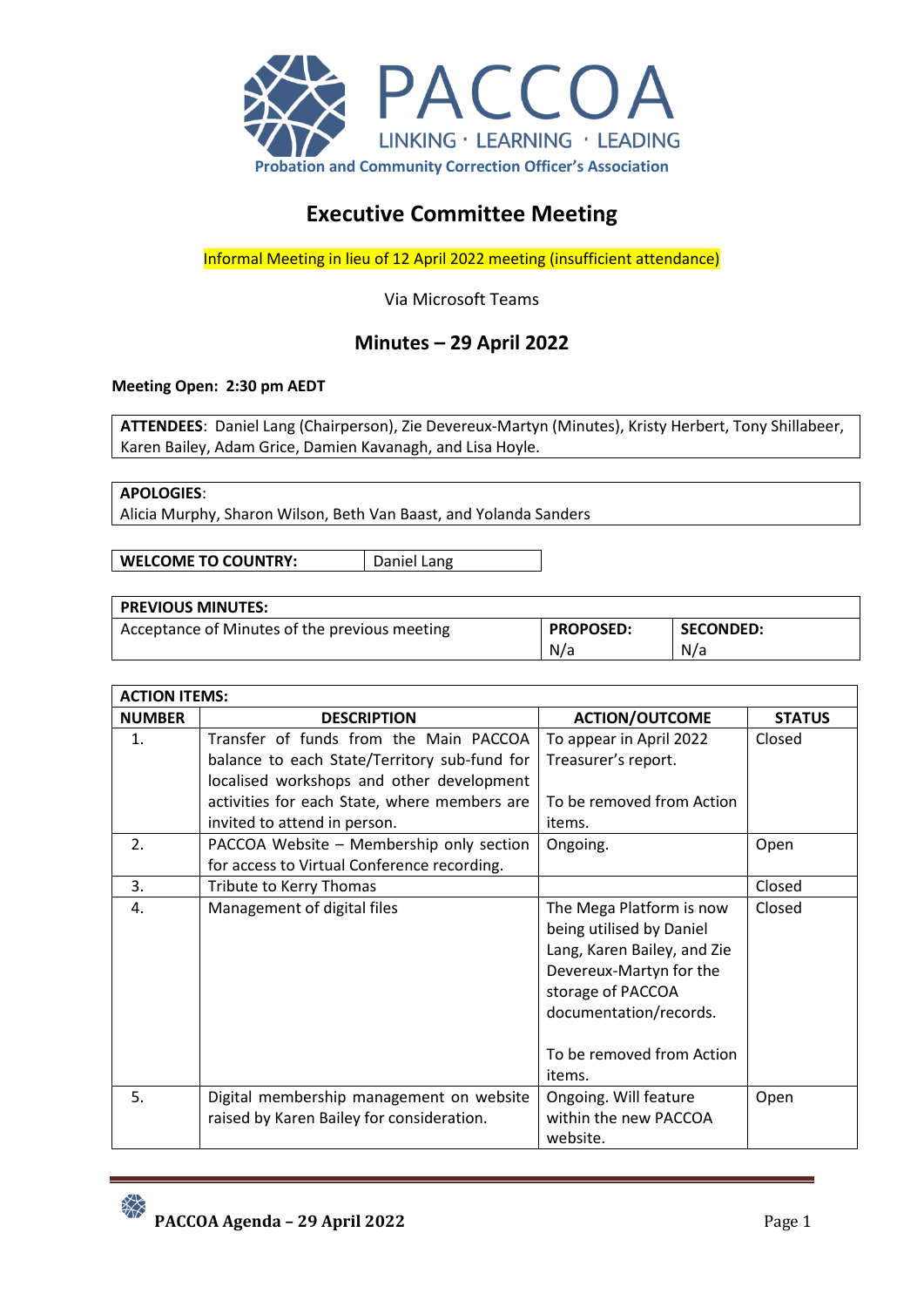

# **Executive Committee Meeting**

Informal Meeting in lieu of 12 April 2022 meeting (insufficient attendance)

## Via Microsoft Teams

## **Minutes – 29 April 2022**

#### **Meeting Open: 2:30 pm AEDT**

**ATTENDEES**: Daniel Lang (Chairperson), Zie Devereux-Martyn (Minutes), Kristy Herbert, Tony Shillabeer, Karen Bailey, Adam Grice, Damien Kavanagh, and Lisa Hoyle.

#### **APOLOGIES**:

Alicia Murphy, Sharon Wilson, Beth Van Baast, and Yolanda Sanders

**WELCOME TO COUNTRY:** | Daniel Lang

#### **PREVIOUS MINUTES:**

Acceptance of Minutes of the previous meeting **PROPOSED:** N/a **SECONDED:** N/a

| <b>ACTION ITEMS:</b> |                                              |                             |               |
|----------------------|----------------------------------------------|-----------------------------|---------------|
| <b>NUMBER</b>        | <b>DESCRIPTION</b>                           | <b>ACTION/OUTCOME</b>       | <b>STATUS</b> |
| $\mathbf{1}$ .       | Transfer of funds from the Main PACCOA       | To appear in April 2022     | Closed        |
|                      | balance to each State/Territory sub-fund for | Treasurer's report.         |               |
|                      | localised workshops and other development    |                             |               |
|                      | activities for each State, where members are | To be removed from Action   |               |
|                      | invited to attend in person.                 | items.                      |               |
| 2.                   | PACCOA Website - Membership only section     | Ongoing.                    | Open          |
|                      | for access to Virtual Conference recording.  |                             |               |
| 3.                   | Tribute to Kerry Thomas                      |                             | Closed        |
| 4.                   | Management of digital files                  | The Mega Platform is now    | Closed        |
|                      |                                              | being utilised by Daniel    |               |
|                      |                                              | Lang, Karen Bailey, and Zie |               |
|                      |                                              | Devereux-Martyn for the     |               |
|                      |                                              | storage of PACCOA           |               |
|                      |                                              | documentation/records.      |               |
|                      |                                              |                             |               |
|                      |                                              | To be removed from Action   |               |
|                      |                                              | items.                      |               |
| 5.                   | Digital membership management on website     | Ongoing. Will feature       | Open          |
|                      | raised by Karen Bailey for consideration.    | within the new PACCOA       |               |
|                      |                                              | website.                    |               |

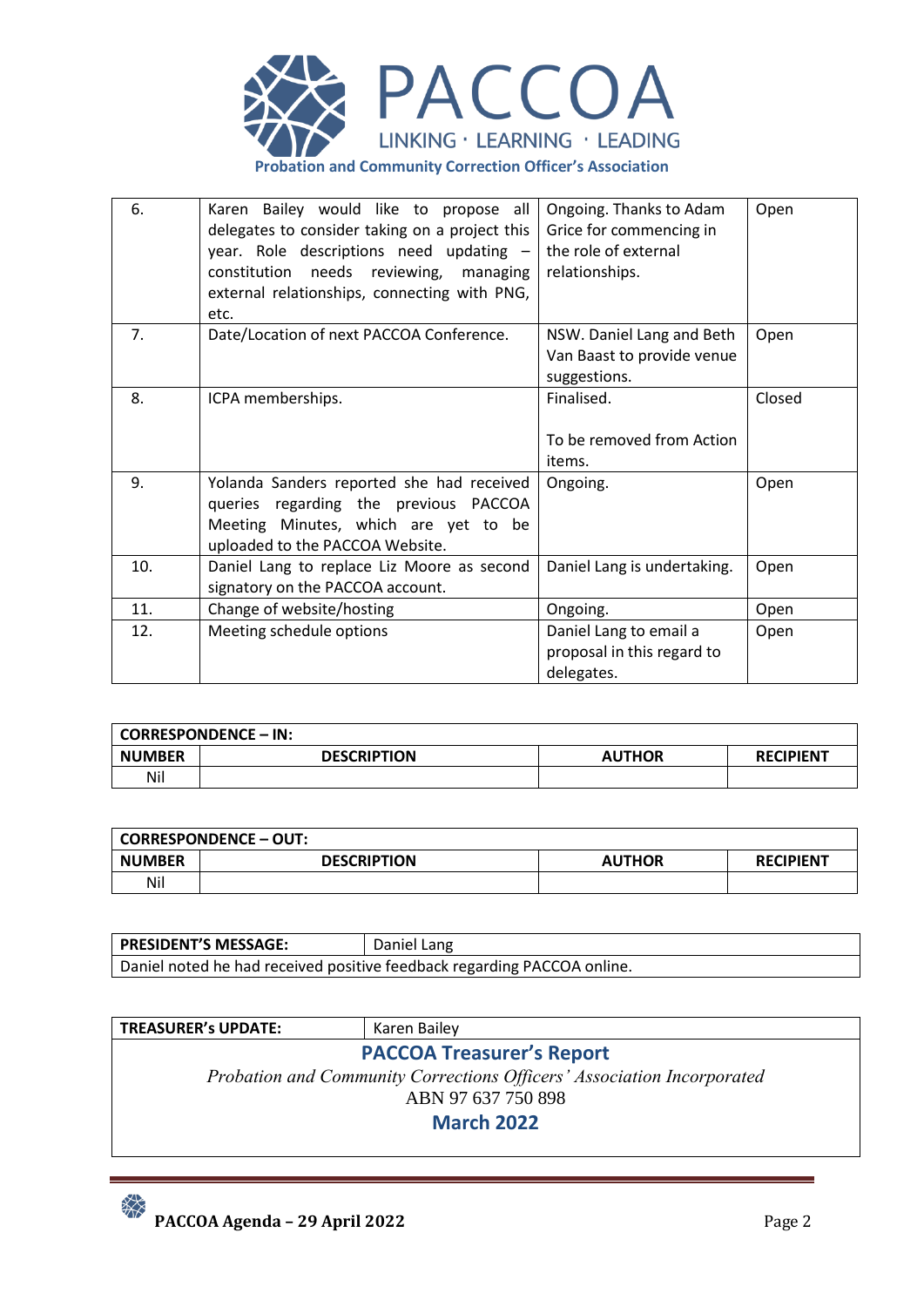

| 6.  | Karen Bailey would like to propose all<br>delegates to consider taking on a project this<br>year. Role descriptions need updating -<br>constitution needs reviewing, managing<br>external relationships, connecting with PNG,<br>etc. | Ongoing. Thanks to Adam<br>Grice for commencing in<br>the role of external<br>relationships. | Open   |
|-----|---------------------------------------------------------------------------------------------------------------------------------------------------------------------------------------------------------------------------------------|----------------------------------------------------------------------------------------------|--------|
| 7.  | Date/Location of next PACCOA Conference.                                                                                                                                                                                              | NSW. Daniel Lang and Beth<br>Van Baast to provide venue<br>suggestions.                      | Open   |
| 8.  | ICPA memberships.                                                                                                                                                                                                                     | Finalised.<br>To be removed from Action<br>items.                                            | Closed |
| 9.  | Yolanda Sanders reported she had received<br>queries regarding the previous PACCOA<br>Meeting Minutes, which are yet to be<br>uploaded to the PACCOA Website.                                                                         | Ongoing.                                                                                     | Open   |
| 10. | Daniel Lang to replace Liz Moore as second<br>signatory on the PACCOA account.                                                                                                                                                        | Daniel Lang is undertaking.                                                                  | Open   |
| 11. | Change of website/hosting                                                                                                                                                                                                             | Ongoing.                                                                                     | Open   |
| 12. | Meeting schedule options                                                                                                                                                                                                              | Daniel Lang to email a<br>proposal in this regard to<br>delegates.                           | Open   |

|               | CORRESPONDENCE – IN: |               |                  |
|---------------|----------------------|---------------|------------------|
| <b>NUMBER</b> | <b>DESCRIPTION</b>   | <b>AUTHOR</b> | <b>RECIPIENT</b> |
| Nil           |                      |               |                  |

|               | <b>CORRESPONDENCE - OUT:</b> |               |                  |
|---------------|------------------------------|---------------|------------------|
| <b>NUMBER</b> | <b>DESCRIPTION</b>           | <b>AUTHOR</b> | <b>RECIPIENT</b> |
| Nil           |                              |               |                  |

| <b>PRESIDENT'S MESSAGE:</b>                                             | Daniel Lang |  |
|-------------------------------------------------------------------------|-------------|--|
| Daniel noted he had received positive feedback regarding PACCOA online. |             |  |

| <b>TREASURER's UPDATE:</b>                                             | Karen Bailey                     |  |  |
|------------------------------------------------------------------------|----------------------------------|--|--|
|                                                                        | <b>PACCOA Treasurer's Report</b> |  |  |
| Probation and Community Corrections Officers' Association Incorporated |                                  |  |  |
| ABN 97 637 750 898                                                     |                                  |  |  |
| <b>March 2022</b>                                                      |                                  |  |  |
|                                                                        |                                  |  |  |

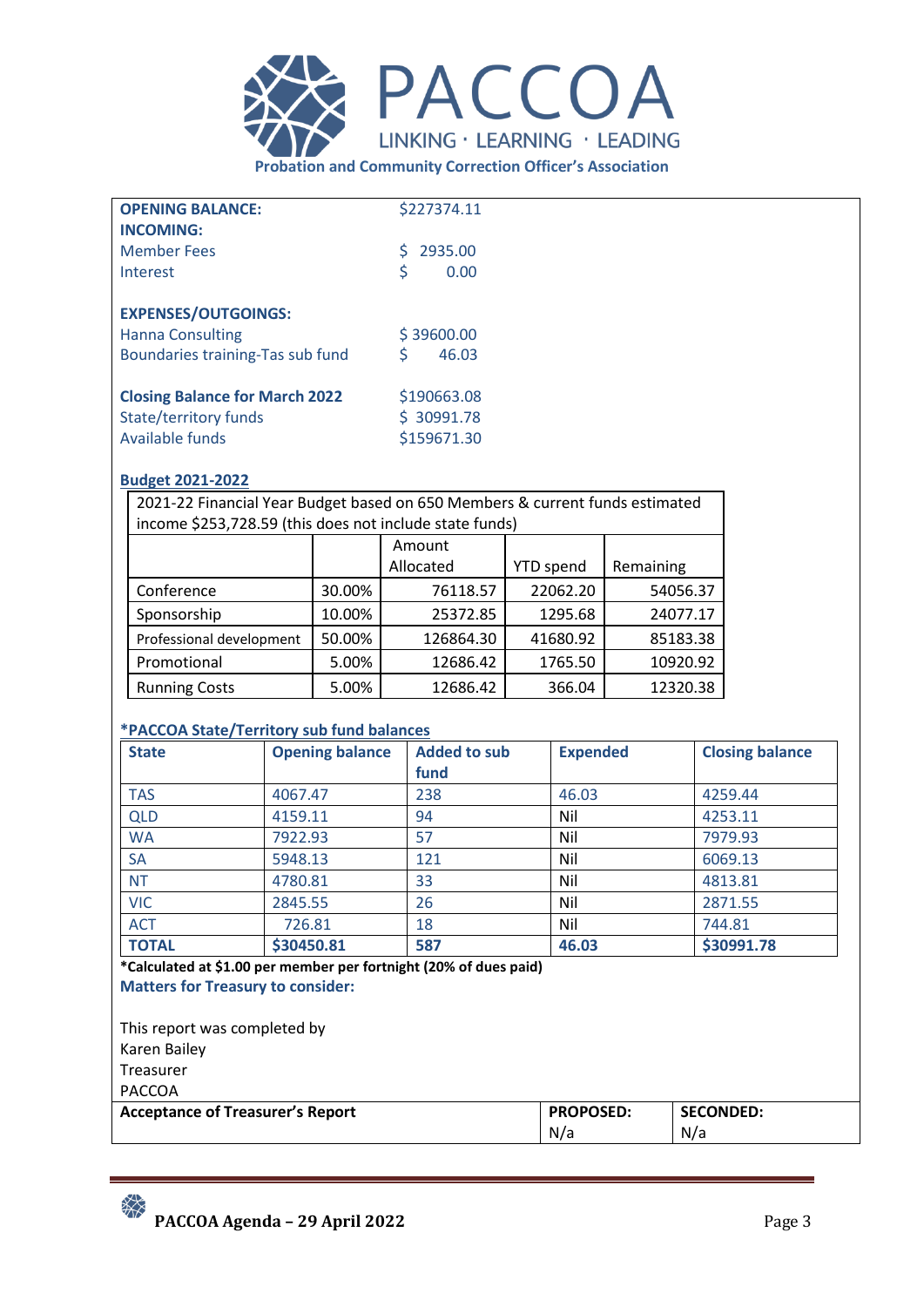

| <b>OPENING BALANCE:</b>               | \$227374.11   |
|---------------------------------------|---------------|
| <b>INCOMING:</b>                      |               |
| <b>Member Fees</b>                    | 2935.00<br>S. |
| Interest                              | \$<br>0.00    |
| <b>EXPENSES/OUTGOINGS:</b>            |               |
| <b>Hanna Consulting</b>               | \$39600.00    |
|                                       |               |
| Boundaries training-Tas sub fund      | \$<br>46.03   |
| <b>Closing Balance for March 2022</b> | \$190663.08   |
| State/territory funds                 | \$30991.78    |
| Available funds                       | \$159671.30   |
|                                       |               |

## **Budget 2021-2022**

2021-22 Financial Year Budget based on 650 Members & current funds estimated income \$253,728.59 (this does not include state funds)

|                          |        | Amount    |                  |           |
|--------------------------|--------|-----------|------------------|-----------|
|                          |        | Allocated | <b>YTD</b> spend | Remaining |
| Conference               | 30.00% | 76118.57  | 22062.20         | 54056.37  |
| Sponsorship              | 10.00% | 25372.85  | 1295.68          | 24077.17  |
| Professional development | 50.00% | 126864.30 | 41680.92         | 85183.38  |
| Promotional              | 5.00%  | 12686.42  | 1765.50          | 10920.92  |
| <b>Running Costs</b>     | 5.00%  | 12686.42  | 366.04           | 12320.38  |

## **\*PACCOA State/Territory sub fund balances**

| <b>State</b>                                                      | <b>Opening balance</b> | <b>Added to sub</b> | <b>Expended</b> | <b>Closing balance</b> |
|-------------------------------------------------------------------|------------------------|---------------------|-----------------|------------------------|
|                                                                   |                        | fund                |                 |                        |
| <b>TAS</b>                                                        | 4067.47                | 238                 | 46.03           | 4259.44                |
| <b>QLD</b>                                                        | 4159.11                | 94                  | Nil             | 4253.11                |
| <b>WA</b>                                                         | 7922.93                | 57                  | Nil             | 7979.93                |
| <b>SA</b>                                                         | 5948.13                | 121                 | Nil             | 6069.13                |
| <b>NT</b>                                                         | 4780.81                | 33                  | Nil             | 4813.81                |
| <b>VIC</b>                                                        | 2845.55                | 26                  | Nil             | 2871.55                |
| <b>ACT</b>                                                        | 726.81                 | 18                  | Nil             | 744.81                 |
| <b>TOTAL</b>                                                      | \$30450.81             | 587                 | 46.03           | \$30991.78             |
| *Calculated at \$1.00 per member per fortnight (20% of dues paid) |                        |                     |                 |                        |

**Matters for Treasury to consider:**

This report was completed by Karen Bailey Treasurer PACCOA

| <b>Acceptance of Treasurer's Report</b> | <b>PROPOSED:</b> | <b>SECONDED:</b> |
|-----------------------------------------|------------------|------------------|
| N/a                                     |                  | N/a              |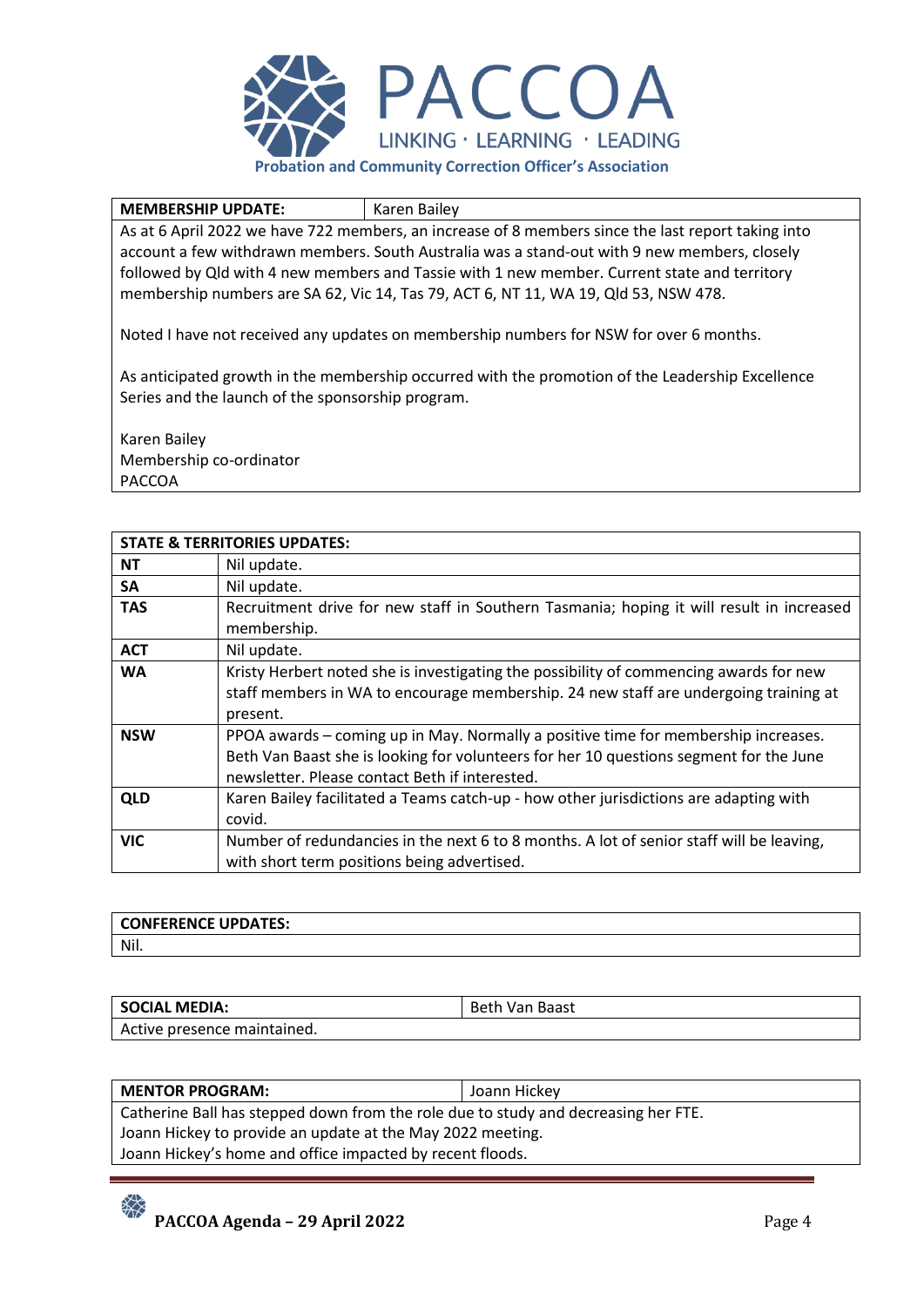

#### **MEMBERSHIP UPDATE:** | Karen Bailey

As at 6 April 2022 we have 722 members, an increase of 8 members since the last report taking into account a few withdrawn members. South Australia was a stand-out with 9 new members, closely followed by Qld with 4 new members and Tassie with 1 new member. Current state and territory membership numbers are SA 62, Vic 14, Tas 79, ACT 6, NT 11, WA 19, Qld 53, NSW 478.

Noted I have not received any updates on membership numbers for NSW for over 6 months.

As anticipated growth in the membership occurred with the promotion of the Leadership Excellence Series and the launch of the sponsorship program.

Karen Bailey Membership co-ordinator PACCOA

|            | <b>STATE &amp; TERRITORIES UPDATES:</b>                                                  |
|------------|------------------------------------------------------------------------------------------|
| <b>NT</b>  | Nil update.                                                                              |
| SA         | Nil update.                                                                              |
| <b>TAS</b> | Recruitment drive for new staff in Southern Tasmania; hoping it will result in increased |
|            | membership.                                                                              |
| <b>ACT</b> | Nil update.                                                                              |
| <b>WA</b>  | Kristy Herbert noted she is investigating the possibility of commencing awards for new   |
|            | staff members in WA to encourage membership. 24 new staff are undergoing training at     |
|            | present.                                                                                 |
| <b>NSW</b> | PPOA awards – coming up in May. Normally a positive time for membership increases.       |
|            | Beth Van Baast she is looking for volunteers for her 10 questions segment for the June   |
|            | newsletter. Please contact Beth if interested.                                           |
| <b>QLD</b> | Karen Bailey facilitated a Teams catch-up - how other jurisdictions are adapting with    |
|            | covid.                                                                                   |
| <b>VIC</b> | Number of redundancies in the next 6 to 8 months. A lot of senior staff will be leaving, |
|            | with short term positions being advertised.                                              |

| <b>CONFERENCE UPDATES:</b> |  |
|----------------------------|--|
| Nil.                       |  |

| <b>SOCIAL MEDIA:</b>        | <b>Beth Van Baast</b> |
|-----------------------------|-----------------------|
| Active presence maintained. |                       |

| <b>MENTOR PROGRAM:</b>                                                             | Joann Hickey |  |
|------------------------------------------------------------------------------------|--------------|--|
| Catherine Ball has stepped down from the role due to study and decreasing her FTE. |              |  |
| Joann Hickey to provide an update at the May 2022 meeting.                         |              |  |
| Joann Hickey's home and office impacted by recent floods.                          |              |  |